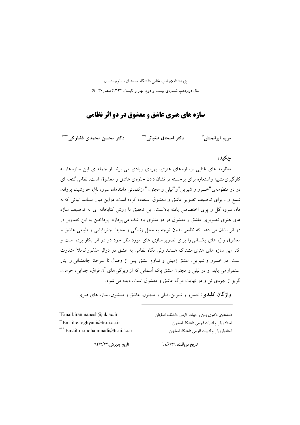یژوهشنامهی ادب غنایی دانشگاه سیستـان و بلوچستــان سال دوازدهم، شمارهی بیست و دوم، بهار و تابستان ۱۳۹۳(صص ۳۰- ۹)

# سازه های هنری عاشق و معشوق در دو اثر نظامی

دکتر محسن محمدی فشار کی \*\*\* دكتر اسحاق طغياني ٌ\*\* مريم ايرانمنش\*

# چکیده

منظومه های غنایی ازسازه های هنری، بهره ی زیادی می برند از جمله ی این سازه ها، به کارگیری تشبیه واستعاره برای برجسته تر نشان دادن جلوهی عاشق و معشوق است. نظامی گنجه ای در دو منظومهی"خسرو و شیرین"و"لیلی و مجنون" ازکلماتی مانندماه، سرو، باغ، خورشید، پروانه، شمع و... برای توصیف تصویر عاشق و معشوق استفاده کرده است. دراین میان بسامد ابیاتی که به ماه، سرو، گل و پری اختصاص یافته بالاست. این تحقیق با روش کتابخانه ای به توصیف سازه های هنری تصویری عاشق و معشوق در دو مثنوی یاد شده می پردازد. پرداختن به این تصاویر در دو اثر نشان می دهد که نظامی بدون توجه به محل زندگی و محیط جغرافیایی و طبیعی عاشق و معشوق واژه های یکسانی را برای تصویر سازی های مورد نظر خود در دو اثر بکار برده است و اکثر این سازه های هنری مشترک هستند ولی نگاه نظامی به عشق در دواثر مذکور کاملا"متفاوت است. در خسرو و شیرین، عشق زمینی و تداوم عشق پس از وصال تا سرحدٌ جانفشانی و ایثار استمرار می یابد و در لیلی و مجنون عشق پاک اسمانی که از ویژگی های ان فراق، جدایی، حرمان، گریز از بهره ی تن و در نهایت مرگ عاشق و معشوق است، دیده می شود.

**واژگان کلیدی**: خسرو و شیرین، لیل<sub>ی</sub> و مجنون، عاشق و معشوق، سازه های هنری.

| $*$ Email: iranmanesh $@$ uk.ac.ir | انشجوی دکتری زبان و ادبیات فارسی دانشگاه اصفهان |
|------------------------------------|-------------------------------------------------|
| $*$ Email:e.toghyani@tr.ui.ac.ir   | ستاد زبان و ادبیات فارسی دانشگاه اصفهان         |
| *** Email:m.mohammadi@tr.ui.ac.ir  | ستادیار زبان و ادبیات فارسی دانشگاه اصفهان      |

تاريخ دريافت: ٩١/۶/٢٩

تاريخ پذيرش:٩٢/٢٣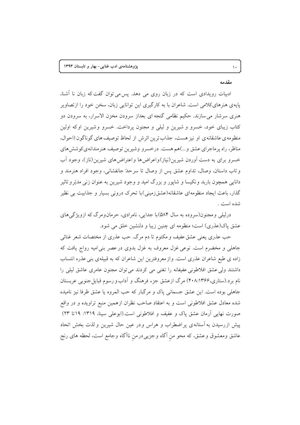#### مقدمه

 $\backslash$  .

ادبیات رویدادی است که در زبان روی می دهد. پس می توان گفت که زبان نا آشنا، پایه ی هنرهای کلامی است. شاعران با به کارگیری این توانایی زبان، سخن خود را ازتصاویر هنری سرشار می سازند. حکیم نظامی گنجه ای بعداز سرودن مخزن الاسرار، به سرودن دو کتاب زیبای خود، خسرو و شیرین و لیلی و مجنون پرداخت. خسرو وشیرین اوکه اولین منظومه ي عاشقانه ي او نيز هست، جذاب ترين اثرش از لحاظ توصيف هاي گوناگون (احوال، مناظر، راه پرماجرای عشق و…)هم هست. درخسرو وشیرین توصیف هنرمندانهی کوشش های خسرو برای به دست آوردن شیرین(نیاز)واعراضها واعتراضهای شیرین(ناز)، وجود آب وتاب داستان، وصال، تداوم عشق پس از وصال تا سرحدٌ جانفشانی، وجود افراد هنرمند و دانایی همچون باربد ونکیسا و شاپور و بزرگ امید و وجود شیرین به عنوان زنی مدبّر و تاثیر گذار، باعث ایجاد منظومهای عاشقانه(عشقزمینی)با تحرک درونی بسیار و جذابیت بی نظیر شده است .

درلیلی و مجنون(سروده به سال ۵۸۴)با جدایی، نامرادی، حرمان و مرگ که ازویژگی های عشق پاک(عذری) است؛ منظومه ای چنین زیبا و دلنشین خلق می شود.

حب عذري يعني عشق عفيف و مكتوم تا دم مرگ. حب عذري از مختصات شعر غنائي جاهلی و مخضرم است. نوعی غزل معروف به غزل بدوی در عصر بنی امیه رواج یافت که زاده ی طبع شاعران عذری است. واز معروفترین این شاعران که به قبیلهی بنی عذره انتساب داشتند ولی عشق افلاطونی عفیفانه را تغنی می کردند می توان مجنون عامری عاشق لیلی را نام برد.(ستاری،۱۳۶۶:۴۰۸) مرگ ازعشق جزء فرهنگ و آداب و رسوم قبایل جنوبی عربستان جاهلي بوده است. اين عشق جسماني ياك و مرگبار كه حب المروه يا عشق ظرفا نيز ناميده شده معادل عشق افلاطونی است و به اعتقاد صاحب نظران ازهمین منبع تراویده و در واقع صورت نهایی آرمان عشق یاک و عفیف و افلاطونی است.(ابوعلی سینا، ۱۳۱۹: ۱۹تا ۲۳) پیش ازرسیدن به آستانه ی پر اضطراب و هراس ودر عین حال شیرین و لذت بخش اتحاد عاشق ومعشوق وعشق، كه محو من آگاه وجزيىدرمن ناآگاه وجامع است، لحظه هاى رنج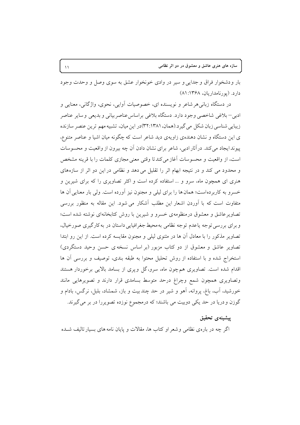بار ودشخوار فراق و جدایی و سیر در وادی خونخوار عشق به سوی وصل و وحدت وجود دارد. (یو رنامداریان، ۱۳۶۸: ۸۱)

در دستگاه زبانی هر شاعر و نویسنده ای، خصوصیات اَوایی، نحوی، واژگانی، معنایی و ادبی–بلاغی شاخصی وجود دارد. دستگاه بلاغی براساس عناصربیانی و بدیعی و سایر عناصر زیبایی شناسی زبان شکل می گیرد.(همان، ۳۲:۱۳۸۱)در این میان، تشبیه مهم ترین عنصر سازنده ی این دستگاه و نشان دهندهی زاویهی دید شاعر است که چگونه میان اشیا و عناصر متنوع، پیوند ایجاد میکند. درآثار ادبی، شاعر برای نشان دادن اّن چه بیرون از واقعیت و محسوسات است، از واقعیت و محسوسات آغاز می کندتا وقتی معنی مجازی کلمات را با قرینه مشخص و محدود می کند و در نتیجه ابهام اثر را تقلیل می دهد و نظامی در این دو اثر از سازههای هنری ای همچون ماه، سرو و … استفاده کرده است و اکثر تصاویری را که برای شیرین و خسرو به کاربردهاست؛ همان ها را برای لیلی و مجنون نیز آورده است. ولی بار معنایی آن ها متفاوت است که با آوردن اشعار این مطلب آشکار می شود. این مقاله به منظور بررسی تصاویر عاشق و معشوق درمنظومهی خسرو و شیرین با روش کتابخانهای نوشته شده است؛ و برای بررسی توجه یاعدم توجه نظامی به محیط جغرافیایی داستان در به کارگیری صورخیال، تصاویر مذکور را با معادل آن ها در مثنوی لیلی و مجنون مقایسه کرده است. از این رو ابتدا تصاویر عاشق و معشوق از دو کتاب مزبور (بر اساس نسخه ی حسن وحید دستگردی) استخراج شده و با استفاده از روش تحلیل محتوا به طبقه بندی، توصیف و بررسی آن ها اقدام شده است. تصاویری هم چون ماه، سرو،گل ویری از بسامد بالایی برخوردار هستند وتصاویری همچون شمع وچراغ درحد متوسط بسامدی قرار دارند و تصویرهایی مانند خورشید، آب، باغ، پروانه، آهو و شیر در حد چند بیت و باز، شمشاد، بلبل، نرگس، بادام و گوزن و دریا در حد یکی دوبیت می باشند؛ که درمجموع نوزده تصویررا در بر می گیرند.

# ييشينهى تحقيق

اگر چه در بارهی نظامی وشعر او کتاب ها، مقالات و پایان نامه های بسیار تالیف شــده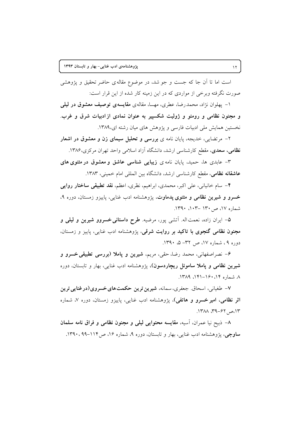است اما تا آن جا که جست و جو شد، در موضوع مقاله ی حاضر تحقیق و پژوهشی صورت نگرفته وبرخی از مواردی که در این زمینه کار شده از این قرار است:

۱- پهلوان نژاد، محمدرضا، عطری، مهسا، مقالهی مقایسهی توصیف معشوق در لیلی و مجنون نظامی و رومئو و ژولیت شکسییر به عنوان نمادی از ادبیات شرق و غرب. نخستین همایش ملی ادبیات فارسی و یژوهش های میان رشته ای،۱۳۸۹.

۲– مرتضایی، خدیجه، پایان نامه ی **بررسی و تحلیل سیمای زن و معشوق در اشعار** <mark>نظامی، سعدی</mark>، مقطع کارشناسی ارشد، دانشگاه آزاد اسلامی واحد تهران مرکزی،۱۳۸۶.

۳– عابدی ها، حمید، پایان نامه ی **زیبایی شناسی عاشق و معشوق در مثنوی های عاشقانه نظامی، مقط**ع کارشناسی ارشد، دانشگاه بین المللی امام خمینی، ۱۳۸۳.

۴– سام خانیانی، علی اکبر، محمدی، ابراهیم، نظری، اعظم، **نقد تطبیقی ساختار روای**بی خسرو و شیرین نظامی و مثنوی یدماوت، یژوهشنامه ادب غنایی، پاییزو زمستان، دوره ۹، شماره ۱۷، ص۱۳۰ –۱۰۲. ۱۳۹۰.

۵– ایران زاده، نعمت۱له. آتشی پور، مرضیه. طرح داستانی خسروو شیرین و لیلی و مجنون نظامی گنجوی با تاکید بر روایت شرقی، پژوهشنامه ادب غنایی، پاییز و زمستان، دوره ۹، شماره ۱۷، ص ۳۲– ۵، ۱۳۹۰.

۶- نصراصفهانی، محمد رضا، حقی، مریم، شیرین و پاملا (بررسی تطبیقی خسرو و **شیرین نظامی و یاملا ساموئل ریچاردسون)**، یژوهشنامه ادب غنایی، بهار و تابستان، دوره ٨. شماره ١٤، ١٤٠-١٤١. ١٣٨٩.

٧– طغیانی، اسحاق. جعفری، سمانه، شیرین ترین حکمت های خسروی(درغنایی ترین ا**ثر نظامی، امیر خسرو و هاتفی)**، پژوهشنامه ادب غنایی، پاییزو زمستان، دوره ۷، شماره ١٣، ص ۶۲-۳۹، ١٣٨٨.

٨– ذبيح نيا عمران. أسيه، مقايسه محتوايي ليلي و مجنون نظامي و فراق نامه سلمان ساوچی، پژوهشنامه ادب غنایی، بهار و تابستان، دوره ۹، شماره ۱۶، ص۱۱۴-۹۹. ۱۳۹۰.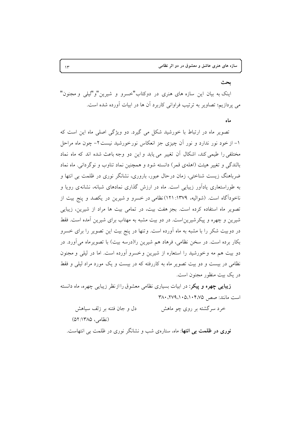#### ىحث

اینک به بیان این سازه های هنری در دوکتاب"خسرو و شیرین"و"لیلی و مجنون" می پردازیم؛ تصاویر به ترتیب فراوانی کاربرد آن ها در ابیات آورده شده است.

#### ماه

تصویر ماه در ارتباط با خورشید شکل می گیرد. دو ویژگی اصلی ماه این است که ۱– از خود نور ندارد و نور آن چیزی جز انعکاس نورخورشید نیست۲– چون ماه مراحل مختلفی را طیمی کند، اشکال آن تغییر می یابد و این دو وجه باعث شده اند که ماه نماد بالندگی و تغییر هیئت (اهلهی قمر) دانسته شود و همچنین نماد تناوب و نوگردانی. ماه نماد ضرباهنگ زیست شناختی، زمان درحال عبور، باروری، نشانگر نوری در ظلمت بی انتها و به طوراستعاری یادآور زیبایی است. ماه در ارزش گذاری نمادهای شبانه، نشانه ی رویا و ناخودآگاه است. (شوالیه، ۱۳۷۹: ۱۲۱)نظامی در خسرو و شیرین در یکصد و پنج بیت از تصویر ماه استفاده کرده است. بجز هفت بیت، در تمامی بیت ها مراد از شیرین، زیبایی شیرین و چهره و پیکرشیرین|ست. در دو بیت مشبه به مهتاب برای شیرین آمده است. فقط در دوبیت شکر را با مشبه به ماه آورده است. وتنها در پنج بیت این تصویر را برای خسرو بکار برده است. در سخن نظامی، فرهاد هم شیرین را(درسه بیت) با تصویر ماه می آورد. در دو بيت هم مه وخورشيد را استعاره از شيرين وخسرو آورده است. اما در ليلي و مجنون نظامی در بیست و دو بیت تصویر ماه به کاررفته که در بیست و یک مورد مراد لیلی و فقط در یک بیت منظور مجنون است.

**زیبایی چهره و پیکر**: در ابیات بسیاری نظامی معشوق را ازنظر زیبایی چهره، ماه دانسته  $\mathsf{Y}\wedge\cdot\mathsf{X}\vee\mathsf{A}\wedge\cdot\mathsf{A}\wedge\cdot\mathsf{A}\wedge\cdot\mathsf{Y}\wedge\mathsf{A}$ 

خرد سرگشته بر روی چو ماهش دل و جان فتنه بر زلف سیاهش (نظامی، ۱۳۸۵: ۵۲) نوری در ظلمت بی انتها: ماه، ستارهی شب و نشانگر نوری در ظلمت ب<sub>ه،</sub> انتهاست.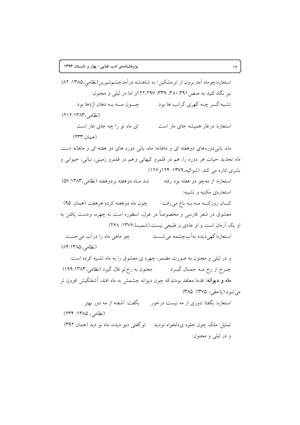استعاره:چوماه آمد برون از ابرمشکین/ به شاهنشه درآمدچشمشیرین(نظامی،۱۳۸۵: ۸۲) نیز نگاه کنید به صص ۳۸۰،۳۹۱، ۳۳۹، ۱۲۲،۲۹۷و اما در لیلی و مجنون: تشبیه:گــر چــه گهري گرانب ها بود \_\_\_\_\_\_ چـــون مـــه بــه دهان اژدها بود (نظامی،۱۳۸۳:۱۳۸۲) استعاره: درغار همیشه جای مار است ای ماه تو را چه جای غار است (همان:۲۳۳) ماه، بانی دورههای دوهفته ای و ماهانه: ماه، بانی دوره های دو هفته ای و ماهانه است. ماه تجدید حیات هر دوره را، هم در قلمرو کیهانی وهم در قلمرو زمینی، نباتی، حیوانی و بشري اداره مي كند. (شواليه، ١٣٧٩: ١٢۴و ١٢۶) استعاره: از مهچو دو هفته بود رفته شد مـاه دوهفته بردوهفته (نظامی،۱۳۸۳:۵۷) استعارهي مكنيه و تشبيه: کــان روزکـــه مــه بــه باغ مىروفت چون ماه دوهفته کرده هرهفت (همان: ۹۵) معشوق در شعر فارسی و مخصوصاً در غزل، اسطوره است نه چهره، ودست یافتن به او یک آرمان است و او عادی و طبیعی نیست.(شمیسا،۱۳۷۶: ۲۶۸) استعاره:گهی دیده بهآب چشمه می شست می سطح حو ماهی ماه را درآب می جست (نظامی، ۱۳۸۵: ۸۴) و در لیلی و مجنون به صورت مضمر، چهره ی معشوق را به ماه تشبیه کرده است: چــرخ از رخ مــه جمــال گيــرد مجنون به رخ تو فال گيرد (نظامي،١٣٨٣:١٩٩) ماه و دیوانه: قدما معتقد بودندکه چون دیوانه چشمش به ماه افتد. آشفتگیش افزون تر مي شو د.(ياحقى، ١٣٧٥: ٣٨٥) استعاره: بگفتا: دوری از مه نیست درخور مسلَّف بگفت: آشفته از مه دور بهتر (نظامی، ۱۳۸۵: ۲۳۴) تمثيل: ملک چون جلوه ي دلخواه نو ديد په تو گفتي ديو ديده، ماه نو ديد (همان: ٣٩٢) و در ليلې و مجنون: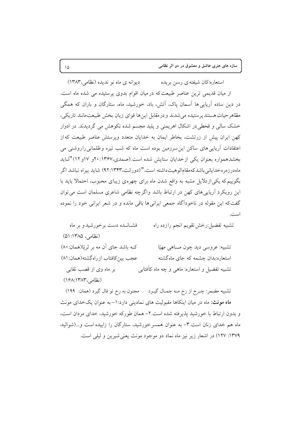دیوانه ی ماه نو ندیده (نظامی، ۱۳۸۳) استعاره:کان شیفته ی رسن بریده از میان قدیمی ترین عناصر طبیعت که در میان اقوام بدوی پرستیده می شده ماه است. در دین ساده اَریایی ها اَسمان پاک، اَتش، باد، خورشید، ماه، ستارگان و باران که همگی مظاهرحیات هستند پرستیده می شدند و در مقابل این ها قوای زیان بخش طبیعت مانند تاریکی، خشک سالی و قحطیدر اشکال اهریمنی و پلید مجسم شده نکوهش می گردیدند. در ادوار کهن ایران پیش از زرتشت، بخاطر ایمان به خدایان متعدد وپرستش عناصر طبیعت که از اعتقادات آریایی های ساکن این سرزمین بوده است ماه که شب تیره وظلمانی راروشنی می بخشدهمواره بعنوان یکی ازخدایان ستایش شده است.(صمدی،۱۳۶۷و۱۲ و ۱۲) "شاید ماهدرزمرهخدایانی باشدکهمقامالوهیتداشته است."(دورانت،۹۲:۱۳۴۳) شاید بیراه نباشد اگر بگوییم که یکی از دلایل مشبه به واقع شدن ماه برای چهره ی زیبای محبوب، احتمالا باید با این رویکرد آریایی های کهن در ارتباط باشد واگرچه نظامی شاعری مسلمان است می توان گفتکه این مقوله در ناخودآگاه جمعی ایرانی ها باقی مانده و در شعر ایرانی خود را نموده است.

تشبيه تفضيل:رخش تقويم انجم رازده راه فشبانیده دست برخورشیدو بر ماه (نظامی، ۱۳۸۵: ۵۱) کـه باشد جای آن مه بر ثر یّا(همان: ۸۰) تشبيه: عروسي ديد چون مـــاهي مهيّا عجب بين كافتاب ازراه گشته(همان: ۸۱) استعاره:بدان چشمه که جای ماهگشته بر ماه وی از قصب نقابی تشبیه تفضیل و استعاره: ماهی و چه ماه کأفتابی (نظامہ ۱۳۸۳، ۱۶۸:۱۴۸۲)

تشبیه مضمر: چـرخ از رخ مــه جمــال گیــرد مــــ مجنون به رخ تو فال گیرد (همان: ۱۹۹) ماه مونث: ماه در میان اینکاها مقبولیت های نمادینی دارد: ۱- به عنوان یک خدای مونث و بدون ارتباط با خورشید پذیرفته شده است.۲- همان طورکه خورشید، خدای مردان است، ماه هم خدای زنان است.۳- به عنوان همسر خورشید، ستارگان را زاییده است و ...(شوالیه، ١٣٧٩: ١٢٧) در اشعار زير نيز ماه نماد دو موجود مونث يعني شيرين و ليلي است.

 $\sqrt{2}$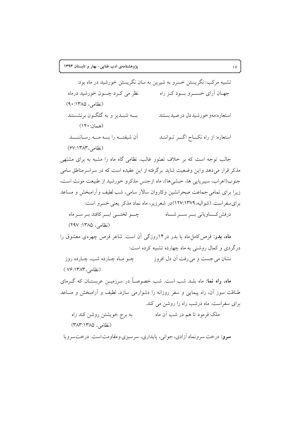تشبیه مرکب: نگریستن خسرو به شیرین به سان نگریستن خورشید در ماه بود: جهـان آراي خســـرو بـــود کــز راه نظر مي كـرد چـــون خورشيد درماه (نظامی، ۱۳۸۵: ۹۰) بـــه شبــديز و به گلگــون برنشستند استعاره:مهوخورشيددل درصيدبستند (همان: ١٤٠) آن شیفتــه را بـــه مـــه رسـاننــــد استعاره: از راه نکساح اگسر تــواننــد (نظامی، ۶۷:۱۳۸۳)

جالب توجه است که بر خلاف تصّور غالب، نظامی گاه ماه را مشبه به برای مشبّهی مذکر قرار میدهد واین وضعیت شاید برگرفته از این عقیده است که در سراسرمناطق سامی جنوب(اعراب، سيبريايي ها، حبشي ها)، ماه ازجنس مذكر و خورشيد از طبيعت مونث است، زیرا برای تمامی جماعت صحرانشین وکاروان سالار سامی، شب لطیف وأرامبخش و مساعد برای سفراست. (شوالیه، ۱۳۷۹:۱۳۷۹) در شعر زیر، ماه نماد مذکر یعنی خسرو است: چےو لختے ایے کافتد ہے سے ماہ درفش کــــاویانی بـــر ســـر شـــاه (نظامی، ۱۳۸۵: ۲۹۷) ماه، بدر: قرص کامل ماه یا بدر در ۱۴روزگی آن است. شاعر قرص چهرهی معشوق را درگردی و کمال روشنی به ماه چهارده تشبیه کرده است: نشان مي جست و مي رفت اَن دل افروز په په چو مـاه چـارده شب، چـارده روز (نظامی، ۱۳۸۳: ۷۶) ماه، راه نما: ماه بلـد شب است. شب خصوصـاً در سرزمیـن عربستـان که گـرمای طــاقت سوز آن، راه پیمایی و سفر روزانه را دشوارمی سازد، لطیف و آرامبخش و مساعد برای سفراست. ماه درشب راه را روشن می کند.

به برج خویشتن روشن کند راه ملک فرمود تا هم در شب آن ماه (نظامی، ۱۳۸۵:۱۳۸۳)

سرو: درخت سرونماد آزادي، جواني، پايداري، سرسېزي ومقاومت است. درخت سروبا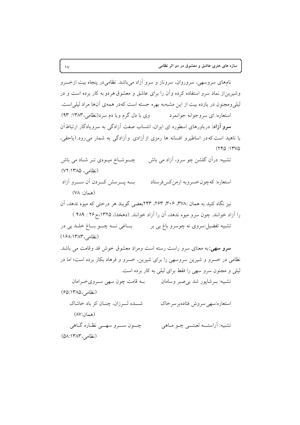نامهای سروسهی، سروروان، سروناز و سرو آزاد می باشد. نظامی در پنجاه بیت ازخسرو وشیرین از نماد سرو استفاده کرده وأن را برای عاشق و معشوق هردو به کار برده است و در لیلی ومجنون در یازده بیت از این مشبهبه بهره جسته است کهدر همهی آنها مراد لیلی است. استعاره: ای سروجوانه جوانمرد مسمود وی با دل گرم وبا دم سرد(نظامی،۱۳۸۳: ۹۳) **سرو آزاد**: درباورهای اسطوره ای ایران، انتساب صفت آزادگی به سرویادگار ارتباط آن با ناهید است که در اساطیر و افسانه ها رمزی از آزادی و آزادگی به شمار می رود.(یاحقی،  $(770:17V)$ 

چــوشــاخ میـوهی تـر شــاد می باش تشبیه: در آن گلشن چو سرو، آزاد می باش (نظامی، ۱۳۸۵: ۷۲) بسه پسرسش کسردن آن سسرو آزاد استعاره: كهچون خسروبه ارمن كس فرستاد

$$
(\forall \Lambda : \Delta \setminus \Delta) \tag{6.17}
$$

نیز نگاه کنید به همان :۳۷۸، ۳۰۶، ۲۶۳، ۲۴۳بعضی گویند هر درختی که میوه ندهد، آن را آزاد خوانند. چون سرو میوه ندهد، آن را آزاد خوانند. (دهخدا، ۱۳۲۵،ج۲۶ : ۴۸۹ ) تشبیه تفضیل:سروی نه چوسرو باغ بی بر سیست به این نسه چسو بساغ خلسد بی در

(نظامی، ۱۳۸۳:۱۶۸) سرو سهی:به معنای سرو راست رسته است ومراد معشوق خوش قد وقامت می باشد. نظامی در خسرو و شیرین سروسهی را برای شیرین، خسرو و فرهاد بکار برده است؛ اما در

لیلی و مجنون سرو سهی را فقط برای لیلی به کار برده است.

تشبیه: بـرشاپور شد ب*ی صبر و*سامان مصبح و عامت چون سهی سـروی خـرامان (نظامی، ۱۳۸۵: ۶۵) شــده لــرزان، چنـان كز باد خاشاك استعاره:سهي سروش فتادهبر سرخاك (همان:۸۷) چون سرو سهے نظارہ گاهی تشبيه: أراستــه لعبتــي چـو مــاهي  $(\Delta \Lambda: \Upsilon \wedge \Upsilon, \Delta)$ زنظامی)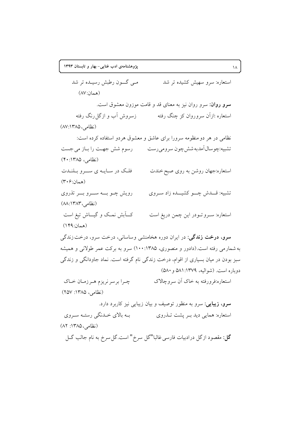مبي گـــون رطبش رسيــده تر شد استعاره: سرو سهیش کشیده تر شد  $(AV:$ (همان) سرو روان: سرو روان نیز به معنای قد و قامت موزون معشوق است. استعاره :ازأن سروروان کز چنگ رفته ہے زسروش آب و ازگا رنگ رفته (نظامی، ۱۳۸۵: ۸۷) نظامی در هر دو منظومه سرورا برای عاشق و معشوق هردو استفاده کرده است: تشبیه:چوسال اَمدبه شش چون سرومی رست رسوم شش جهت را بـاز می جست (نظامی، ۱۳۸۵: ۴۰) فلک در سـايــه ي ســـرو بــلنــدت استعاره:جهان روشن به روی صبح خندت (همان:۴۰۶) رویش چــو بــــه ســــرو بــــر تذروي تشبیه: قــــدش چــــو کشیــــده زاد ســروی (نظامی، ۱۳۸۳: ۸۸) کـــاَبش نمــک و گیــــاش تیغ است استعاره: سـرو تــودر اين چمن دريغ است (همان:۱۴۹) **سرو، درخت زندگی**: در ایران دوره هخامنشی وساسانی، درخت سرو، درخت زندگی به شمارمی رفته است.(دادور و منصوری، ۱۳۸۵: ۱۰۰) سرو به برکت عمر طولانی و همیشه سبز بودن در میان بسیاری از اقوام، درخت زندگی نام گرفته است. نماد جاودانگی و زندگی دوباره است. (شواليه، ١٣٧٩: ٥٨١ و ٥٨٠) استعاره:فرورفته به خاک آن سروچالاک چـرا برسر نريزم هـرزمـان خـاک (نظامی، ۱۳۸۵: ۲۵۷) **سرو، زیبایی**: سرو به منظور توصیف و بیان زیبایی نیز کاربرد دارد. بـه بالاي خـدنگي رستـه سـروي استعاره: همایی دید بــر پشت تــذروی (نظامی، ۱۳۸۵: ۸۲)

گل: مقصود ازگل درادبیات فارسی غالبا"گل سرخ" است.گل سرخ به نام جالب گـل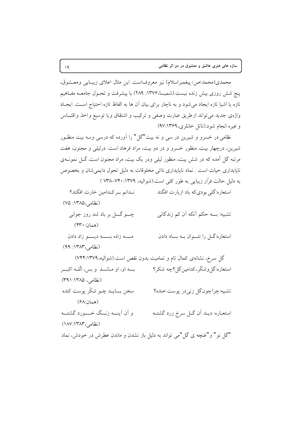محمدي(محمد(ص) پيغمبراسلام) نيز معروفاست. اين مثال اعلاي زيبـايي ومعـشوق، پنج شش روزی بیش زنده نیست.(شمیسا،۱۳۷۶: ۲۸۹) با پیشرفت و تحـول جامعــه مفـاهیم تازه یا اشیا تازه ایجاد می شود و به ناچار برای بیان آن ها به الفاظ تازه احتیاج است. ایجـاد واژهى جديد مى تواند ازطريق عبارت وصفى و تركيب و اشتقاق ويا توسيع واخذ واقتبـاس وغيره انجام شود.(ناتل خانلري، ٩٧:١٣۶٩)

نظامی در خسرو و شیرین در سی و نه بیت"گل" را آورده که درسی وسه بیت منظـور شیرین، درچهار بیت، منظور خسرو و در دو بیت، مراد فرهاد است. درلیلی و مجنون، هفت مرتبه گل آمده که در شش بیت، منظور لیلی ودر یک بیت، مراد مجنون است. گــل نمونــهی ناپایداری حیات است . نماد ناپایداری ذاتی مخلوقات به دلیل تحول دایمی شان و بخصوص به دلیل حالت فرّار زیبایی به طور کلی است.(شوالیه، ۱۳۷۹: ۷۴۰–۷۳۸ )

استعاره:گلی بو دیکه باد ازبارت افگند نـدانم بـر كـدامين خارت افگند؟ (نظامی،۱۳۸۵: ۷۵) تشبیه: بـــه حکم آنکه اَن کم زندگانی چے گے بر باد شد روز جوانی (همان: ۴۳۰) مـــه زاده بـــــه ديــــو زاد دادن استعاره:گـــل را نتــــوان بـــه بـــــاد دادن  $(99:14)$ نظامی، ۱۳۸۳: گل سرخ، نشانهی کمال تام و تمامیت بدون نقص است.(شوالیه، ۷۴۴:۱۳۷۹) استعاره:گل وشکّر،کدامینگل؟چه شکر؟ مسیّل او، او مــانـــد و بس، الّلــه اکبـــر (نظامر، ۱۳۸۵: ۳۹۱) سخن بساييد چيو شکّر پوست کنده تشبيه:چراچونگل زني در يوست خنده؟  $(5\Lambda \cdot \Pi_{\alpha} a)$ و أن أينسه زنسگ خسسورد گشتسه استعــاره: ديــد اّن گــل سرخ زرد گشتــه (نظامی،۱۳۸۳) (۱۸۷:۱۳۸۳) "گل نو " و "غنچه ي گل "مي تواند به دليل باز نشدن و ماندن عطرش در خودش، نماد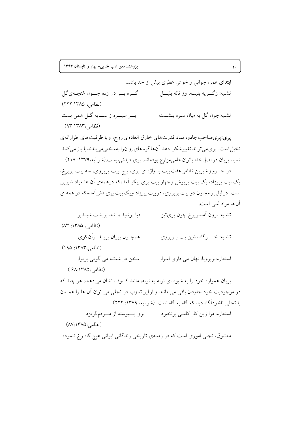ابتدای عمر، جوانی و خوش عطری پیش از حد پاشد. گره بو دل زده چون غنچهي گل تشىيە: زگىريە بلىلـە، وز نالە بليـــل (نظامی، ۱۳۸۵: ۲۲۲) بسر سبسزه ز سسايه گل همی بست تشبیه:چون گل به میان سبزه بنشست (نظامی،۱۳۸۳:۱۳۸۳) پری:پریصاحب جادو، نماد قدرتهای خارق العاده ی روح، و یا ظرفیتهای طرارانهی تخیل است. پری می تواند تغییر شکل دهد. آنها گره های روان را به سختی می بندندیا باز می کنند. شاید پریان در اصل خدا بانوان حامی مزارع بوده اند. پری دیدنی نیست.(شوالیه، ۱۳۷۹: ۲۱۸)

در خسرو و شیرین نظامی هفت بیت با واژه ی پری، پنج بیت پریروی، سه بیت پریرخ، یک بیت پریزاد، یک بیت پریوش وچهار بیت پری پیکر آمده که درهمهی آن ها مراد شیرین است. در لیلی و مجنون دو بیت پریروی، دوبیت پریزاد ویک بیت پری فش آمده که در همه ی آن ها مراد ليلي است.

قبا يوشيد و شد بريشت شبـديز تشبيه: برون اَمدپريرخ چون پرىتيز (نظامی، ۱۳۸۵: ۸۳) همچـون پريان پريـد ازاّن كوي تشبيه: خـــــــر گاه نشين بت پـــر پروي (نظامی، ۱۳۸۳: ۱۹۵) سخن در شیشه می گویی پریوار استعاره:پریرویا، نهان می داری اسرار (نظامی،۱۳۸۵):۶۸ ) یریان همواره خود را به شیوه ای نوبه به نوبه، مانند کسوف نشان می دهند، هر چند که در موجودیت خود جاودان باقی می مانند و از این تناوب در تجلی می توان آن ها را همسان با تجلي ناخودآگاه ديد كه گاه به گاه است. (شواليه، ١٣٧٩: ٢٢٢)

استعاره: مرا زین کار کامبی برنخیزد میری پسپوسته از مسردم گریزد (نظامی،۱۳۸۵) (۸۷:۱۳۸ معشوق، تجلَّى اموري است كه در زمينهي تاريخي زندگاني ايراني هيچ گاه رخ ننموده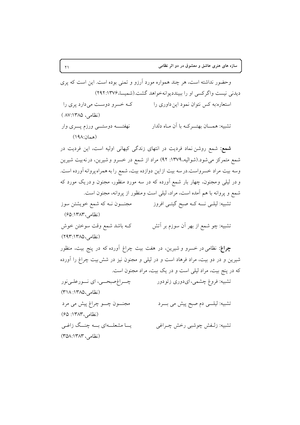وحضور نداشته است، هر چند همواره مورد آرزو و تمنی بوده است. این است که پری دیدنی نیست واگر کسی او را بیبنددیوانه خواهد گشت (شمسا، ۲۹۲:۱۳۷۶) استعاره:به کس نتوان نمود این داوری را کـه خسرو دوسـت می دارد پری را (نظامی، ۱۳۸۵:۸۷:۱۳۸ تشبیه: همـــان بهتـــرکــه با آن مــاه دلدار نهفتــــه دوستــــی ورزم پــــری وار (همان:١٩٨) **شمع:** شمع روشن نماد فردیت در انتهای زندگی کیهانی اولیه است، این فردیت در شمع متمرکز می شود.(شوالیه، ۱۳۷۹: ۹۲) مراد از شمع در خسرو و شیرین، درنهبیت شیرین وسه بیت مراد خسرواست.درسه بیت ازاین دوازده بیت، شمع را به همراه پروانه آورده است. و در لیلی و مجنون، چهار بار شمع آورده که در سه مورد منظور، مجنون و دریک مورد که شمع و پروانه با هم آمده است، مراد، لیلی است ومنظور از پروانه، مجنون است. تشبیه: لیلـی نـــه کــه صبح گیتــی افروز مجنـــون نــه که شمع خویشتن سوز (نظامی،۱۳۸۳:۶۵) تشبیه: چو شمع از بهر آن سوزم بر آتش كـه باشد شمع وقت سوختن خوش (نظامی، ۱۳۸۵: ۲۹۳) چراغ: نظامی در خسرو و شیرین، در هفت بیت چراغ آورده که در پنج بیت، منظور شیرین و در دو بیت، مراد فرهاد است و در لیلی و مجنون نیز در شش بیت چراغ را آورده که در پنج بیت، مراد لیلی است و در یک بیت، مراد مجنون است. چــراغصبحـــي، اي نـــورعلــينور تشبیه: فروغ چشمی، ایدوری زتودور (نظامی،۱۳۸۵: ۳۱۸) تشبیه: لیلـــی دم صبح پیش می بـــرد مجنون چـــو چراغ پیش می مرد (نظامی، ۱۳۸۳: ۶۵) یــا مشعلــهای بــه چنــگ زاغـی تشبيه: زلـفش چوشبي رخش چـراغي (نظامی، ۳۸۳: ۳۵۸)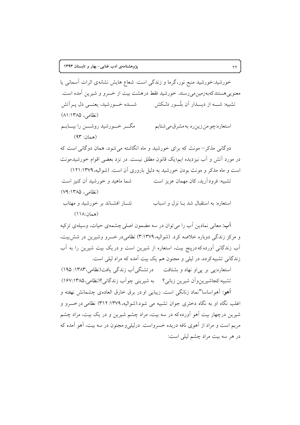خورشید:خورشید منبع نور،گرما و زندگی است. شعاع هایش نشانهی اثرات آسمانی یا معنویی هستندکهبهزمین می رسند. خورشید فقط درهشت بیت از خسرو و شیرین آمده است. تشبیه: شـــه از دیـــدار اَن بِلّـــور دلــکش سیــــ شــــده خــــورشید، یعنــــی دل پــراتش (نظامی، ۱۳۸۵: ۸۱) مگـــر خــــورشید روشــــن را بیــــابـــم استعاره:چو من زين ره به مشرق مي شتابم (همان: ۹۳)

دوگانی مذکر – مونث که برای خورشید و ماه انگاشته می شود، همان دوگانی است که در مورد اَتش و اَب نیزدیده ایم؛یک قانون مطلق نیست. در نزد بعضی اقوام خورشیدمونث است و ماه مذکر و مونث بودن خورشید به دلیل باروری آن است. (شوالیه، ۱۳۷۹: ۱۲۱) تشبیه: فرودآرید، کان مهمان عزیز است شما ماهید و خورشید آن کنیز است (نظامی، ۱۳۸۵: ۷۹)

نثسار افشباند بر خورشید و مهتاب استعاره: به استقبال شد بــا نزل و اسباب  $(11A:ibab)$ 

آب: معانی نمادین آب را می توان در سه مضمون اصلی چشمهی حیات، وسیلهی تزکیه و مرکز زندگی دوباره خلاصه کرد. (شوالیه،۱۳۷۹:۳) نظامی در خسرو وشیرین در شش بیت، آب زندگانی آورده که درینج بیت، استعاره از شیرین است و در یک بیت شیرین را به آب زندگانی تشبیه کرده، در لیلی و مجنون هم یک بیت آمده که مراد لیلی است.

استعاره:پی بر پی او نهاد و بشتافت در تشنگی آب زندگی یافت(نظامی،۱۳۸۳: ۱۹۵) تشبیه:کجاشیرینوآن شیرین زبانی؟ به شیرینی چواّب زندگانی؟(نظامی،۱۳۸۵؛۱۶۷) آهو: آهواساسا"نماد زنانگی است. زیبایی او در برق خارق العاده ی چشمانش نهفته و اغلب نگاه او به نگاه دختری جوان تشبیه می شود.(شوالیه، ۱۳۷۹: ۳۱۲) نظامی درخسرو و شیرین درچهار بیت آهو آورده که در سه بیت، مراد چشم شیرین و در یک بیت، مراد چشم مريم است و مراد از آهوي نافه دريده خسرواست. درليلي و مجنون در سه بيت، آهو آمده كه در هر سه بيت مراد چشم ليلي است: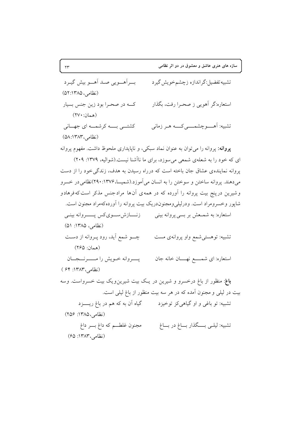بــــرأهــــويي صـــد أهـــــو بيش گيــرد تشبيه تفضيل:گر اندازه زچشمخويش گيرد (نظامر، ۱۳۸۵: ۵۲) استعاره:گر أهويي ز صحـرا رفت، بگذار که در صحرا بود زين جنس بسيار (همان: ٢٧٠) تشبيه: آهــــوچشمـــــي کــــه هــر زماني كشتـــى بـــــه كرشمـــه اى جهـــانى (نظامی، ۵۸:۱۳۸۳) پروانه: پروانه را می توان به عنوان نماد سبکی، و ناپایداری ملحوظ داشت. مفهوم پروانه ای که خود را به شعلهی شمعی می سوزد، برای ما ناآشنا نیست.(شوالیه، ۱۳۷۹: ۲۰۹) یروانه نماینده ی عشاق جان باخته است که درراه رسیدن به هدف، زندگی خود را از دست میدهند. پروانه ساختن و سوختن را به انسان میآموزد.(شمیسا، ۱۳۷۶: ۲۹۰)نظامی در خسرو وشیرین درپنج بیت پروانه را آورده که در همهی آن ها مرادجنس مذکر است که فرهادو شاپور وخسرومراد است. ودرلیلیeمعجنوندریک بیت پروانه را آوردهکهمراد مجنون است. استعاره: به شمـعش بر بسي پروانه بيني مسفى ازنســازش.ســـوىكس پـــــــروانه بينــي (نظامی، ۱۳۸۵: ۵۱) تشبیه: توهستی شمع واو پروانهی مست مسطح به سو شمع آید، رود پـروانه از دسـت (همان: ۲۶۵) استعاره: اي شمــــع نهــــان خانه جان مسمى بــــــــروانه خــويش را مـــــــرنـــجـــان (نظامی، ١٣٨٣: ۶۴) **باغ**: منظور از باغ درخسرو و شیرین در یک بیت شیرینویک بیت خسرواست. وسه بیت در لیلی و مجنون آمده که در هر سه بیت منظور از باغ لیلی است. تشبیه: تو باغی و او گیاهی کز توخیزد گیاه اّن به که هم در باغ ریــــزد (نظامی، ۱۳۸۵: ۲۵۶) تشبيه: ليلـي بــــگذار بـــاغ در بـــاغ مجنون غلطـــم که داغ بــــر داغ (نظامی، ۱۳۸۳: ۶۵)

 $\tau\tau$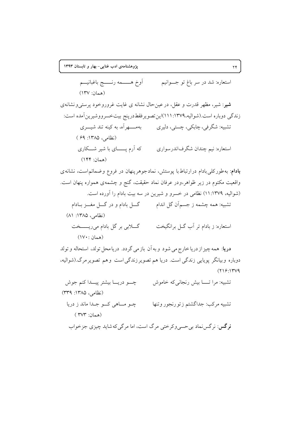أوخ هـــــمه رنــــــج باغبانيـــم

(همان: ١٣٧) **شیر**: شیر، مظهر قدرت و عقل، در عین حال نشانه ی غایت غروروخود پرست<sub>ی</sub>ونشانهی زندگی دوباره است.(شوالیه،۱۳۷۹:۱۱۱)این تصویر فقط درینج بیتخسر ووشیرین آمده است: تشبیه: شگرفی، چابکی، چستی، دلیری مصلح به مسلح آه، به کینه تند شیسری (نظامی، ۱۳۸۵: ۶۹) که اَرم پــــــای با شیر شـــکاری استعاره: نيم چندان شگرفاندرسواري  $(144)$ 

**بادام**: به طورکلی بادام درارتباط با پوستش، نمادجوهرپنهان در فروع وضمائم است، نشانه ی واقعیت مکتوم در زیر ظواهر،ودر عرفان نماد حقیقت، گنج و چشمهی همواره پنهان است. (شواليه، ١٣٧٩: ١١) نظامي در خسرو و شيرين در سه بيت بادام را آورده است. تشبیه: همه چشمه ز جسمآن گل اندام مسلم گـــل بادام و در گـــل مغـــز بــادام (نظامی، ۱۳۸۵: ۸۱) گـــلابي بر گل بادام ميçيـــــــخت استعاره: ز بادام تر اَب گــل برانگیخت (همان : ١٧٠)

دریا: همه چیز از دریا خارج می شود و به آن باز می گردد. دریا محل تولد، استحاله و تولد دوباره وبیانگر پویایی زندگی است. دریا هم تصویر زندگی است و هم تصویر مرگ (شوالیه،  $(719.174)$ 

چے دریـــا بیشتر پیــــدا کنم جوش تشبيه: مراتــا بيش رنجاني كه خاموش (نظامی، ۱۳۸۵: ۳۳۹) تشبيه مركب: جداگشتم زتورنجور وتنها چو مساهي کسو جلدا ماند ز دريا (همان: ۳۷۳ ) **نر گس**: نر گس نماد بي حسي وکر ختي مرگ است، اما مر گي که شايد چيزي جز خواب

استعاره: شد در سر باغ تو جــوانيم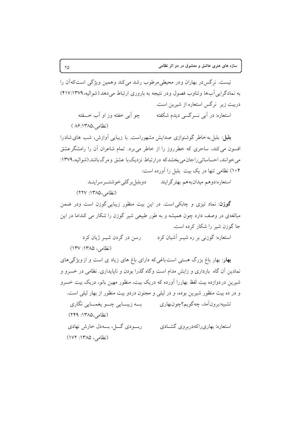نست. نرگس در پهاران و در محبطی مرطوب رشد می کند و همین ویژگی است که آن را به نمادگرایی آبها وتناوب فصول ودر نتیجه به باروری ارتباط می دهد.(شوالیه، ۱۳۷۹:۱۳۷۹) دربیت زیر نرگس استعاره از شیرین است. استعاره: در اَبی نــــرگسی دیدم شکفته چو آبی خفته وز او آب خـــفته

(نظامی،۱۳۸۵؛۸۶)

**بلبل**: بلبل به خاطر گوشنوازی صدایش مشهوراست. با زیبایی آوازش، شب های شادرا افسون می کند، ساحری که خطرروز را از خاطر می برد. تمام شاعران آن را رامشگر عشق می خوانند، احساساتی راجان می بخشدکه درارتباط نزدیک با عشق و مرگ باشد.(شوالیه، ۱۳۷۹: ۱۰۴) نظامی تنها در یک بیت بلبل را آورده است:

استعاره:دوهم میدانبههم بهترگرایند می دوبلبل برگلی خوشتــرسراینــد

(نظامی،۱۳۸۵: ۲۲۷)

گو**زن**: نماد تیزی و چابکی است. در این بیت منظور زیبایی گوزن است ودر ضمن مبالغهی در وصف دارد چون همیشه و به طور طبیعی شیر گوزن را شکار می کنداما در این جا گوزن شیر را شکار کرده است.

رسن در گردن شب ژبان کرد استعاره: گوزنی بر ره شب اآشبان کرد (نظامی، ۱۳۸۵: ۱۳۷)

بهار: بهار باغ بزرگ هستی است باغی که دارای باغ های زیاد ی است و ازویژگی های نمادین آن گاه بارداری و زایش مدام است وگاه گذرا بودن و ناپایداری. نظامی در خسرو و شیرین دردوازده بیت لفظ بهاررا آورده که دریک بیت، منظور مهین بانو، دریک بیت خسرو و در ده بیت منظور شیرین بوده، و در لیلی و مجنون دردو بیت منظور از بهار لیلی است. تشبیه:برون|َمد، چهگویم؟چون!بهاری به زیبــایی چـــو یغمـــایی نگاری (نظامی،۱۳۸۵: ۲۴۹) ريودي گيل، پيه دل خارش نهادي استعاره: بهاري راكه در بروي گشيادي (نظامی، ۱۳۸۵: ۱۷۲)

 $\Upsilon \Delta$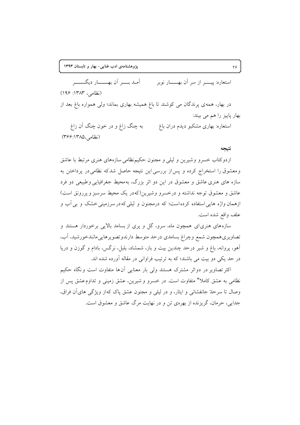آمدیے آن بھیلے دیگے۔ استعاره: بیسیر از سر آن بهسسار نویر (نظامر، ١٣٨٣: ١٩۶)

در بهار، همه ی پرندگان می کوشند تا باغ همیشه بهاری بماند؛ ولی همواره باغ بعد از بهار پاییز را هم می بیند:

به چنگ زاغ و در خون چنگ آن زاغ استعاره: بهاری مشکبو دیدم دران باغ (نظامی،۱۳۸۵): ۳۶۶)

### نتيجه

ازدوکتاب خسرو وشیرین و لیلی و مجنون حکیم نظامی سازههای هنری مرتبط با عاشق و معشوق را استخراج کرده و پس از بررسی این نتیجه حاصل شدکه نظامی در پرداختن به سازه های هنری عاشق و معشوق در این دو اثر بزرگ، بهمحیط جغرافیایی وطبیعی دو فرد عاشق و معشوق توجه نداشته و درخسرو وشیرین(کهدر یک محیط سرسبز و پررونق است) ازهمان واژه هایی استفاده کرده است؛ که درمجنون و لیلی که در سرزمینی خشک و بی آب و علف واقع شده است.

سازههای هنری ای همچون ماه، سرو، گل و پری از بسامد بالایی برخوردار هستند و تصاويري همچون شمع وچراغ بسامدي درحد متوسط دارندوتصويرهاييءانندخورشيد، أب، آهو، پروانه، باغ و شیر درحد چندین بیت و باز، شمشاد، بلبل، نرگس، بادام و گوزن و دریا در حد یکی دو بیت می باشند؛ که به ترتیب فراوانی در مقاله آورده شده اند.

اکثر تصاویر در دواثر مشترک هستند ولی بار معنایی آنها متفاوت است ونگاه حکیم نظامی به عشق کاملا" متفاوت است. در خسرو و شیرین، عشق زمینی و تداوم عشق پس از وصال تا سرحلهٔ جانفشانی و ایثار، و در لیلی و مجنون عشق یاک کهاز ویژگی های آن فراق، جدایی، حرمان، گریزنده از بهرهی تن و در نهایت مرگ عاشق و معشوق است.

 $\mathbf{Y}\mathbf{P}$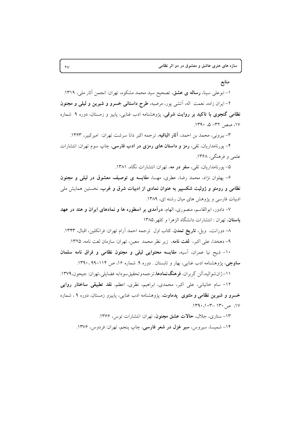## منابع

۱– ابوعلی سینا، **رساله ی عشق**، تصحیح سید محمد مشکوه، تهران: انجمن آثار ملی، ۱۳۱۹. ۲– ایران زاده، نعمت اله، اَتشی پور، مرضیه، طرح داستانی خسرو و شیرین و لیلی و مجنون <mark>نظامی گنجوی با تاکید بر روایت شرقی</mark>، پژوهشنامه ادب غنایی، پاییز و زمستان، دوره ۹ شماره ١٧، صص ٣٢- ۵، ١٣٩٠.

٣- بيروني، محمد بن احمد، آثار الباقيه، ترجمه اكبر دانا سرشت تهران: اميركبير، ١٣۶٣. ۴– پورنامداریان، تقی، **رمز و داستان های رمزی در ادب فارسی**، چاپ سوم تهران: انتشارات علمي و فرهنگي، ۱۳۶۸.

۵– یورنامداریان، تقی، **سفر در مه**، تهران: انتشارات نگاه، ۱۳۸۱.

۶- یهلوان نژاد، محمد رضا، عطری، مهسا، مقایسه ی توصیف معشوق در لیلی و مجنون نظامی و رومئو و ژولیت شکسپیر به عنوان نمادی از ادبیات شرق و غرب، نخستین همایش ملی ادبیات فارسی و پژوهش های میان رشته ای، ۱۳۸۹.

۷– دادور، ابوالقاسم، منصوری، الهام، درآمدی بر اسطوره ها و نمادهای ایران و هند در عهد باستان، تهران : انتشارات دانشگاه الزهرا و كلهر ١٣٨٥

۸– دورانت، ویل، **تاریخ تمدن**، کتاب اول ترجمه احمد آرام تهران: فرانکلین، اقبال، ۱۳۴۳. ۹- دهخدا، على اكبر، لغت نامه، زير نظر محمد معين، تهران: سازمان لغت نامه، ١٣٢۵.

١٠- ذبيح نيا عمران، آسيه، مقايسه محتوايي ليلي و مجنون نظامي و فراق نامه سلمان ساوجی، پژوهشنامه ادب غنایی، بهار و تابستان ـ دوره ۹ـ شماره ۱۶، ص ۱۱۴-۹۹. ۱۳۹۰.

١١-ژانشواليه،آلن گرېران، **فرهنگنمادها**،ترجمهوتحقيق سودابه فضايلي،تهران: جيحون،١٣٧٩. ۱۲- سام خانیانی، علی اکبر، محمدی، ابراهیم، نظری، اعظم، **نقد تطبیقی ساختار روایی خسرو و شیرین نظامی و مثنوی پیدماوت**، یژوهشنامه ادب غنایی، پاییزو زمستان، دوره ۹، شماره  $.1191 \cdot .117 - 1171$   $\approx$  .1Y

۱۳– ستاری، جلال، حالات عشق مجنون، تهران: انتشارات توس، ۱۳۶۶. ۱۴– شمیسا، سیروس، **سیر غزل در شعر فارسی**، چاپ پنجم، تهران: فردوس، ۱۳۷۶.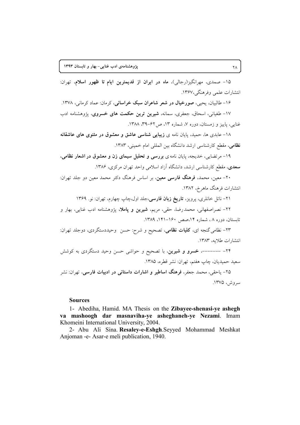۱۵- صمدی، مهرانگیز(رجالی)، ماه در ایران از قدیمترین ایام تا ظهور اسلام، تهران: انتشارات علمي وفرهنگي،١٣۶٧.

۱۶- طالبیان، یحیی، صورخیال در شعر شاعران سبک خراسانی، کرمان: عماد کرمانی، ۱۳۷۸. ١٧- طغیانی، اسحاق، جعفری، سمانه، <mark>شیرین ترین حکمت های خسروی</mark>، یژوهشنامه ادب غنایی، پاییز و زمستان، دوره ۷، شماره ۱۳، ص ۶۲-۳۹، ۱۳۸۸.

١٨- عابدي ها، حميد، پايان نامه ي زيبايي شناسي عاشق و معشوق در مثنوي هاي عاشقانه نظامی، مقطع کارشناسی ارشد دانشگاه بین المللی امام خمینی، ۱۳۸۳.

۱۹- مرتضایی، خدیجه، پایان نامه ی بررسی و تحلیل سیمای زن و معشوق در اشعار نظامی، **سعدی**، مقطع کارشناسی ارشد، دانشگاه آزاد اسلامی واحد تهران مرکزی، ۱۳۸۶.

۲۰- معین، محمد، <mark>فرهنگ فارسی معین</mark>، بر اساس فرهنگ دکتر محمد معین دو جلد تهران: انتشارات فرهنگ ماهر خ، ۱۳۸۲.

۲۱– ناتل خانلری، پرویز، **تاریخ زبان فارسی**،جلد اول،چاپ چهارم، تهران: نو. ۱۳۶۹

۲۲– نصراصفهانی، محمدرضا، حقی، مریم، **شیرین و پاملا**، پژوهشنامه ادب غنایی، بهار و تابستان، دوره ۸، شماره ۱۴،صص ۱۶۰–۱۴۸۱، ۱۳۸۹.

۲۳- نظامی گنجه ای، **کلیات نظامی**، تصحیح و شرح: حسن وحیددستگردی، دوجلد تهران: انتشارات طلايه، ١٣٨٣.

۲۴- -------، **خسرو و شیرین**، با تصحیح و حواشی حسن وحید دستگردی به کوشش سعيد حميديان، چاپ هفتم، تهران: نشر قطره، ١٣٨۵.

۲۵- یاحقی، محمد جعفر، فرهنگ اساطیر و اشارات داستانی در ادبیات فارسی، تهران: نشر سروش، ۱۳۷۵.

## **Sources**

1- Abediha, Hamid. MA Thesis on the Zibayee-shenasi-ye ashegh va mashoogh dar masnaviha-ye asheghaneh-ye Nezami. Imam Khomeini International University, 2004.

2- Abu Ali Sina. Resaley-e-Eshgh. Seyyed Mohammad Meshkat Anjoman -e- Asar-e meli publication, 1940.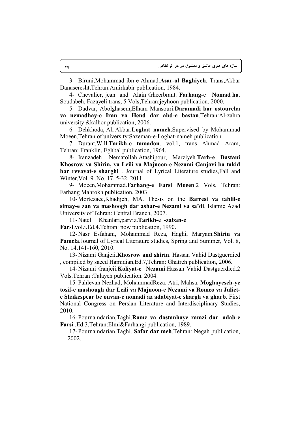3- Biruni,Mohammad-ibn-e-Ahmad.**Asar-ol Baghiyeh**. Trans,Akbar Danaseresht,Tehran:Amirkabir publication, 1984.

4- Chevalier, jean and Alain Gheerbrant. **Farhang-e Nomad ha**. Soudabeh, Fazayeli trans, 5 Vols,Tehran:jeyhoon publication, 2000.

5- Dadvar, Abolghasem,Elham Mansouri.**Daramadi bar ostoureha va nemadhay-e Iran va Hend dar ahd-e bastan**.Tehran:Al-zahra university &kalhor publication, 2006.

6- Dehkhoda, Ali Akbar.**Loghat nameh**.Supervised by Mohammad Moeen,Tehran of university:Sazeman-e-Loghat-nameh publication.

7- Durant,Will.**Tarikh-e tamadon**. vol.1, trans Ahmad Aram, Tehran: Franklin, Eghbal publication, 1964.

8- Iranzadeh, Nematollah.Atashipour, Marziyeh.**Tarh-e Dastani Khosrow va Shirin, va Leili va Majnoon-e Nezami Ganjavi ba takid bar revayat-e sharghi** . Journal of Lyrical Literature studies,Fall and Winter,Vol. 9 ,No. 17, 5-32, 2011.

9- Moeen,Mohammad.**Farhang-e Farsi Moeen**.2 Vols, Tehran: Farhang Mahrokh publication, 2003

10-Mortezaee,Khadijeh, MA. Thesis on the **Barresi va tahlil-e simay-e zan va mashoogh dar ashar-e Nezami va sa'di**. Islamic Azad University of Tehran: Central Branch, 2007.

11-Natel Khanlari,parviz.**Tarikh-e -zaban-e** 

**Farsi**.vol.i.Ed.4.Tehran: now publication, 1990.

12-Nasr Esfahani, Mohammad Reza, Haghi, Maryam.**Shirin va Pamela**.Journal of Lyrical Literature studies, Spring and Summer, Vol. 8, No. 14,141-160, 2010.

13-Nizami Ganjeii.**Khosrow and shirin**. Hassan Vahid Dastguerdied , compiled by saeed Hamidian,Ed.7,Tehran: Ghatreh publication, 2006.

14-Nizami Ganjeii.**Koliyat-e Nezami**.Hassan Vahid Dastguerdied.2 Vols.Tehran :Talayeh publication. 2004.

15-Pahlevan Nezhad, MohammadReza. Atri, Mahsa. **Moghayeseh-ye tosif-e mashough dar Leili va Majnoon-e Nezami va Romeo va Juliete Shakespear be onvan-e nomadi az adabiyat-e shargh va gharb**. First National Congress on Persian Literature and Interdisciplinary Studies, 2010.

16-Pournamdarian,Taghi.**Ramz va dastanhaye ramzi dar adab-e Farsi** .Ed:3,Tehran:Elmi&Farhangi publication, 1989.

17-Pournamdarian,Taghi. **Safar dar meh**.Tehran: Negah publication, 2002.